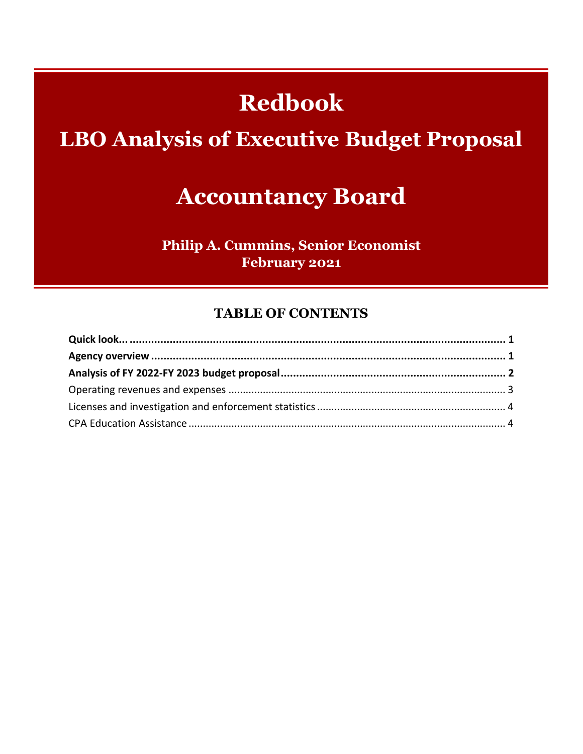# **Redbook**

# **LBO Analysis of Executive Budget Proposal**

# **Accountancy Board**

**Philip A. Cummins, Senior Economist February 2021** 

#### **TABLE OF CONTENTS**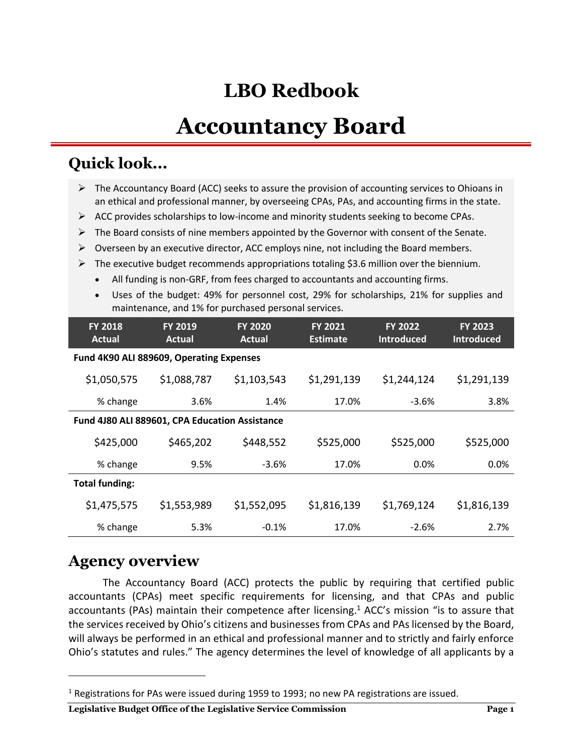# **LBO Redbook**

# **Accountancy Board**

### **Quick look...**

| ≻                                              | The Accountancy Board (ACC) seeks to assure the provision of accounting services to Ohioans in<br>an ethical and professional manner, by overseeing CPAs, PAs, and accounting firms in the state. |                                                                                          |                 |                   |                   |  |
|------------------------------------------------|---------------------------------------------------------------------------------------------------------------------------------------------------------------------------------------------------|------------------------------------------------------------------------------------------|-----------------|-------------------|-------------------|--|
| ➤                                              | ACC provides scholarships to low-income and minority students seeking to become CPAs.                                                                                                             |                                                                                          |                 |                   |                   |  |
| ➤                                              | The Board consists of nine members appointed by the Governor with consent of the Senate.                                                                                                          |                                                                                          |                 |                   |                   |  |
| ➤                                              | Overseen by an executive director, ACC employs nine, not including the Board members.                                                                                                             |                                                                                          |                 |                   |                   |  |
| ➤                                              |                                                                                                                                                                                                   | The executive budget recommends appropriations totaling \$3.6 million over the biennium. |                 |                   |                   |  |
| $\bullet$                                      |                                                                                                                                                                                                   | All funding is non-GRF, from fees charged to accountants and accounting firms.           |                 |                   |                   |  |
| $\bullet$                                      | Uses of the budget: 49% for personnel cost, 29% for scholarships, 21% for supplies and                                                                                                            |                                                                                          |                 |                   |                   |  |
|                                                |                                                                                                                                                                                                   | maintenance, and 1% for purchased personal services.                                     |                 |                   |                   |  |
| <b>FY 2018</b>                                 | <b>FY 2019</b>                                                                                                                                                                                    | <b>FY 2020</b>                                                                           | <b>FY 2021</b>  | <b>FY 2022</b>    | <b>FY 2023</b>    |  |
| <b>Actual</b>                                  | <b>Actual</b>                                                                                                                                                                                     | <b>Actual</b>                                                                            | <b>Estimate</b> | <b>Introduced</b> | <b>Introduced</b> |  |
| Fund 4K90 ALI 889609, Operating Expenses       |                                                                                                                                                                                                   |                                                                                          |                 |                   |                   |  |
| \$1,050,575                                    | \$1,088,787                                                                                                                                                                                       | \$1,103,543                                                                              | \$1,291,139     | \$1,244,124       | \$1,291,139       |  |
| % change                                       | 3.6%                                                                                                                                                                                              | 1.4%                                                                                     | 17.0%           | $-3.6%$           | 3.8%              |  |
| Fund 4J80 ALI 889601, CPA Education Assistance |                                                                                                                                                                                                   |                                                                                          |                 |                   |                   |  |
| \$425,000                                      | \$465,202                                                                                                                                                                                         | \$448,552                                                                                | \$525,000       | \$525,000         | \$525,000         |  |
| % change                                       | 9.5%                                                                                                                                                                                              | $-3.6%$                                                                                  | 17.0%           | 0.0%              | 0.0%              |  |
| <b>Total funding:</b>                          |                                                                                                                                                                                                   |                                                                                          |                 |                   |                   |  |
| \$1,475,575                                    | \$1,553,989                                                                                                                                                                                       | \$1,552,095                                                                              | \$1,816,139     | \$1,769,124       | \$1,816,139       |  |
| % change                                       | 5.3%                                                                                                                                                                                              | $-0.1%$                                                                                  | 17.0%           | $-2.6%$           | 2.7%              |  |

### **Agency overview**

 $\overline{a}$ 

The Accountancy Board (ACC) protects the public by requiring that certified public accountants (CPAs) meet specific requirements for licensing, and that CPAs and public accountants (PAs) maintain their competence after licensing. <sup>1</sup> ACC's mission "is to assure that the services received by Ohio's citizens and businesses from CPAs and PAs licensed by the Board, will always be performed in an ethical and professional manner and to strictly and fairly enforce Ohio's statutes and rules." The agency determines the level of knowledge of all applicants by a

#### **Legislative Budget Office of the Legislative Service Commission Page 1**

<sup>&</sup>lt;sup>1</sup> Registrations for PAs were issued during 1959 to 1993; no new PA registrations are issued.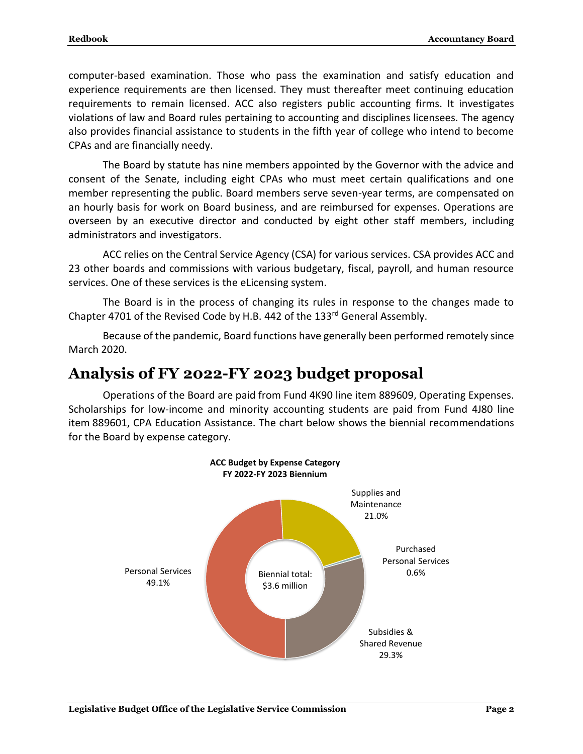computer-based examination. Those who pass the examination and satisfy education and experience requirements are then licensed. They must thereafter meet continuing education requirements to remain licensed. ACC also registers public accounting firms. It investigates violations of law and Board rules pertaining to accounting and disciplines licensees. The agency also provides financial assistance to students in the fifth year of college who intend to become CPAs and are financially needy.

The Board by statute has nine members appointed by the Governor with the advice and consent of the Senate, including eight CPAs who must meet certain qualifications and one member representing the public. Board members serve seven-year terms, are compensated on an hourly basis for work on Board business, and are reimbursed for expenses. Operations are overseen by an executive director and conducted by eight other staff members, including administrators and investigators.

ACC relies on the Central Service Agency (CSA) for various services. CSA provides ACC and 23 other boards and commissions with various budgetary, fiscal, payroll, and human resource services. One of these services is the eLicensing system.

The Board is in the process of changing its rules in response to the changes made to Chapter 4701 of the Revised Code by H.B. 442 of the 133rd General Assembly.

Because of the pandemic, Board functions have generally been performed remotely since March 2020.

### **Analysis of FY 2022-FY 2023 budget proposal**

Operations of the Board are paid from Fund 4K90 line item 889609, Operating Expenses. Scholarships for low-income and minority accounting students are paid from Fund 4J80 line item 889601, CPA Education Assistance. The chart below shows the biennial recommendations for the Board by expense category.

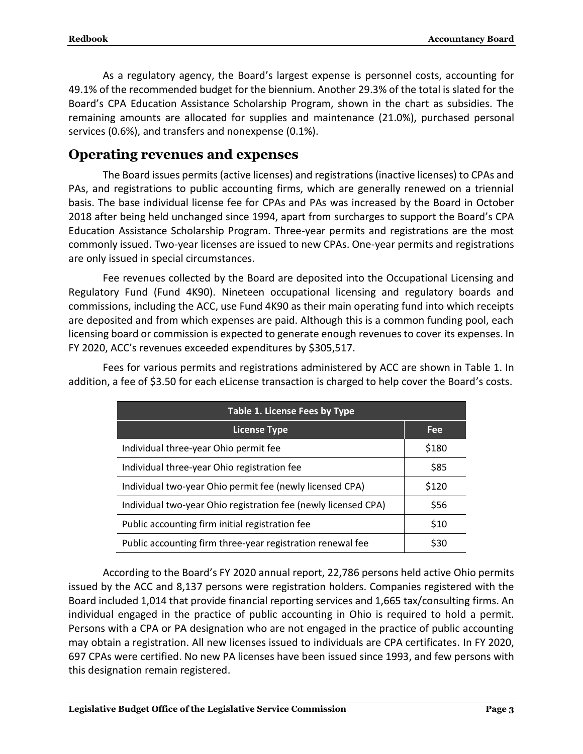As a regulatory agency, the Board's largest expense is personnel costs, accounting for 49.1% of the recommended budget for the biennium. Another 29.3% of the total is slated for the Board's CPA Education Assistance Scholarship Program, shown in the chart as subsidies. The remaining amounts are allocated for supplies and maintenance (21.0%), purchased personal services (0.6%), and transfers and nonexpense (0.1%).

#### **Operating revenues and expenses**

The Board issues permits (active licenses) and registrations (inactive licenses) to CPAs and PAs, and registrations to public accounting firms, which are generally renewed on a triennial basis. The base individual license fee for CPAs and PAs was increased by the Board in October 2018 after being held unchanged since 1994, apart from surcharges to support the Board's CPA Education Assistance Scholarship Program. Three-year permits and registrations are the most commonly issued. Two-year licenses are issued to new CPAs. One-year permits and registrations are only issued in special circumstances.

Fee revenues collected by the Board are deposited into the Occupational Licensing and Regulatory Fund (Fund 4K90). Nineteen occupational licensing and regulatory boards and commissions, including the ACC, use Fund 4K90 as their main operating fund into which receipts are deposited and from which expenses are paid. Although this is a common funding pool, each licensing board or commission is expected to generate enough revenues to cover its expenses. In FY 2020, ACC's revenues exceeded expenditures by \$305,517.

| Table 1. License Fees by Type                                  |       |  |  |
|----------------------------------------------------------------|-------|--|--|
| <b>License Type</b>                                            | Fee   |  |  |
| Individual three-year Ohio permit fee                          | \$180 |  |  |
| Individual three-year Ohio registration fee                    | \$85  |  |  |
| Individual two-year Ohio permit fee (newly licensed CPA)       | \$120 |  |  |
| Individual two-year Ohio registration fee (newly licensed CPA) | \$56  |  |  |
| Public accounting firm initial registration fee                | \$10  |  |  |
| Public accounting firm three-year registration renewal fee     | \$30  |  |  |

Fees for various permits and registrations administered by ACC are shown in Table 1. In addition, a fee of \$3.50 for each eLicense transaction is charged to help cover the Board's costs.

According to the Board's FY 2020 annual report, 22,786 persons held active Ohio permits issued by the ACC and 8,137 persons were registration holders. Companies registered with the Board included 1,014 that provide financial reporting services and 1,665 tax/consulting firms. An individual engaged in the practice of public accounting in Ohio is required to hold a permit. Persons with a CPA or PA designation who are not engaged in the practice of public accounting may obtain a registration. All new licenses issued to individuals are CPA certificates. In FY 2020, 697 CPAs were certified. No new PA licenses have been issued since 1993, and few persons with this designation remain registered.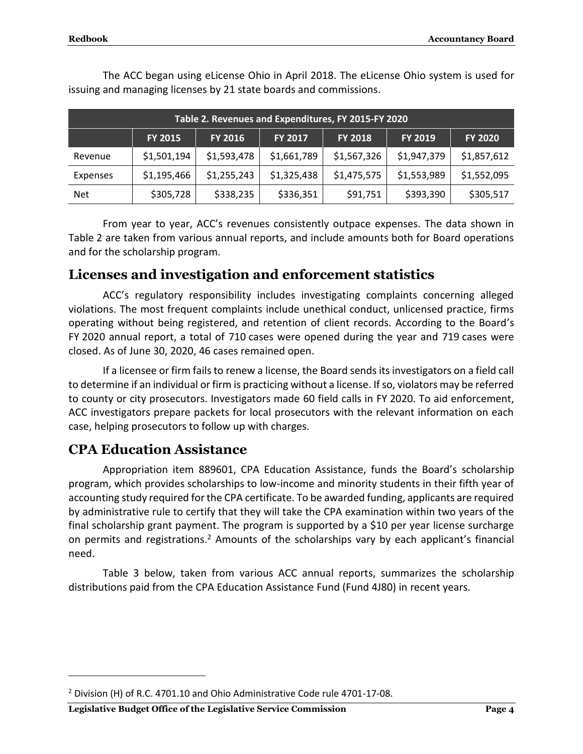| Table 2. Revenues and Expenditures, FY 2015-FY 2020 |                |             |             |                |                |                |
|-----------------------------------------------------|----------------|-------------|-------------|----------------|----------------|----------------|
|                                                     | <b>FY 2015</b> | FY 2016     | FY 2017     | <b>FY 2018</b> | <b>FY 2019</b> | <b>FY 2020</b> |
| Revenue                                             | \$1,501,194    | \$1,593,478 | \$1,661,789 | \$1,567,326    | \$1,947,379    | \$1,857,612    |
| Expenses                                            | \$1,195,466    | \$1,255,243 | \$1,325,438 | \$1,475,575    | \$1,553,989    | \$1,552,095    |
| <b>Net</b>                                          | \$305,728      | \$338,235   | \$336,351   | \$91,751       | \$393,390      | \$305,517      |

The ACC began using eLicense Ohio in April 2018. The eLicense Ohio system is used for issuing and managing licenses by 21 state boards and commissions.

From year to year, ACC's revenues consistently outpace expenses. The data shown in Table 2 are taken from various annual reports, and include amounts both for Board operations and for the scholarship program.

### **Licenses and investigation and enforcement statistics**

ACC's regulatory responsibility includes investigating complaints concerning alleged violations. The most frequent complaints include unethical conduct, unlicensed practice, firms operating without being registered, and retention of client records. According to the Board's FY 2020 annual report, a total of 710 cases were opened during the year and 719 cases were closed. As of June 30, 2020, 46 cases remained open.

If a licensee or firm fails to renew a license, the Board sends its investigators on a field call to determine if an individual or firm is practicing without a license. If so, violators may be referred to county or city prosecutors. Investigators made 60 field calls in FY 2020. To aid enforcement, ACC investigators prepare packets for local prosecutors with the relevant information on each case, helping prosecutors to follow up with charges.

### **CPA Education Assistance**

 $\overline{a}$ 

Appropriation item 889601, CPA Education Assistance, funds the Board's scholarship program, which provides scholarships to low-income and minority students in their fifth year of accounting study required for the CPA certificate. To be awarded funding, applicants are required by administrative rule to certify that they will take the CPA examination within two years of the final scholarship grant payment. The program is supported by a \$10 per year license surcharge on permits and registrations.<sup>2</sup> Amounts of the scholarships vary by each applicant's financial need.

Table 3 below, taken from various ACC annual reports, summarizes the scholarship distributions paid from the CPA Education Assistance Fund (Fund 4J80) in recent years.

**Legislative Budget Office of the Legislative Service Commission Page 4**

<sup>&</sup>lt;sup>2</sup> Division (H) of R.C. 4701.10 and Ohio Administrative Code rule 4701-17-08.